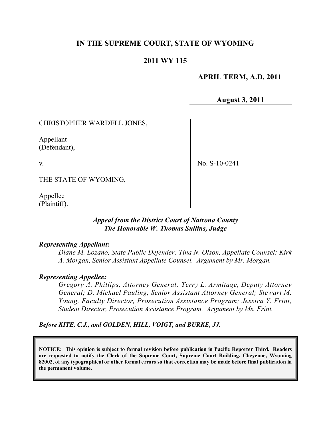# **IN THE SUPREME COURT, STATE OF WYOMING**

## **2011 WY 115**

## **APRIL TERM, A.D. 2011**

**August 3, 2011**

CHRISTOPHER WARDELL JONES,

Appellant (Defendant),

v.

No. S-10-0241

THE STATE OF WYOMING,

Appellee (Plaintiff).

## *Appeal from the District Court of Natrona County The Honorable W. Thomas Sullins, Judge*

#### *Representing Appellant:*

*Diane M. Lozano, State Public Defender; Tina N. Olson, Appellate Counsel; Kirk A. Morgan, Senior Assistant Appellate Counsel. Argument by Mr. Morgan.*

#### *Representing Appellee:*

*Gregory A. Phillips, Attorney General; Terry L. Armitage, Deputy Attorney General; D. Michael Pauling, Senior Assistant Attorney General; Stewart M. Young, Faculty Director, Prosecution Assistance Program; Jessica Y. Frint, Student Director, Prosecution Assistance Program. Argument by Ms. Frint.*

*Before KITE, C.J., and GOLDEN, HILL, VOIGT, and BURKE, JJ.*

**NOTICE: This opinion is subject to formal revision before publication in Pacific Reporter Third. Readers are requested to notify the Clerk of the Supreme Court, Supreme Court Building, Cheyenne, Wyoming** 82002, of any typographical or other formal errors so that correction may be made before final publication in **the permanent volume.**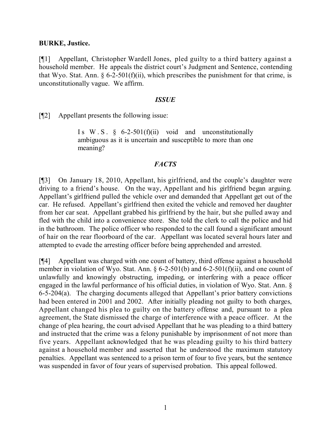## **BURKE, Justice.**

[¶1] Appellant, Christopher Wardell Jones, pled guilty to a third battery against a household member. He appeals the district court's Judgment and Sentence, contending that Wyo. Stat. Ann.  $\frac{6}{2}$ -501(f)(ii), which prescribes the punishment for that crime, is unconstitutionally vague. We affirm.

#### *ISSUE*

[¶2] Appellant presents the following issue:

Is W.S.  $\S$  6-2-501(f)(ii) void and unconstitutionally ambiguous as it is uncertain and susceptible to more than one meaning?

## *FACTS*

[¶3] On January 18, 2010, Appellant, his girlfriend, and the couple's daughter were driving to a friend's house. On the way, Appellant and his girlfriend began arguing. Appellant's girlfriend pulled the vehicle over and demanded that Appellant get out of the car. He refused. Appellant's girlfriend then exited the vehicle and removed her daughter from her car seat. Appellant grabbed his girlfriend by the hair, but she pulled away and fled with the child into a convenience store. She told the clerk to call the police and hid in the bathroom. The police officer who responded to the call found a significant amount of hair on the rear floorboard of the car. Appellant was located several hours later and attempted to evade the arresting officer before being apprehended and arrested.

[¶4] Appellant was charged with one count of battery, third offense against a household member in violation of Wyo. Stat. Ann. § 6-2-501(b) and 6-2-501(f)(ii), and one count of unlawfully and knowingly obstructing, impeding, or interfering with a peace officer engaged in the lawful performance of his official duties, in violation of Wyo. Stat. Ann. § 6-5-204(a). The charging documents alleged that Appellant's prior battery convictions had been entered in 2001 and 2002. After initially pleading not guilty to both charges, Appellant changed his plea to guilty on the battery offense and, pursuant to a plea agreement, the State dismissed the charge of interference with a peace officer. At the change of plea hearing, the court advised Appellant that he was pleading to a third battery and instructed that the crime was a felony punishable by imprisonment of not more than five years. Appellant acknowledged that he was pleading guilty to his third battery against a household member and asserted that he understood the maximum statutory penalties. Appellant was sentenced to a prison term of four to five years, but the sentence was suspended in favor of four years of supervised probation. This appeal followed.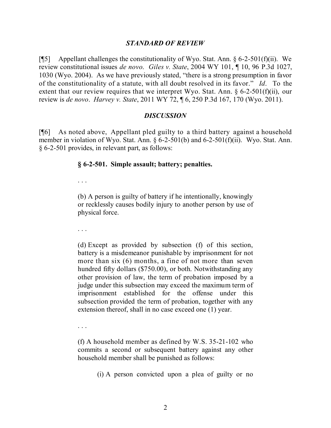## *STANDARD OF REVIEW*

[¶5] Appellant challenges the constitutionality of Wyo. Stat. Ann.  $\S 6-2-501(f)(ii)$ . We review constitutional issues *de novo*. *Giles v. State*, 2004 WY 101, ¶ 10, 96 P.3d 1027, 1030 (Wyo. 2004). As we have previously stated, "there is a strong presumption in favor of the constitutionality of a statute, with all doubt resolved in its favor." *Id*. To the extent that our review requires that we interpret Wyo. Stat. Ann.  $\S 6$ -2-501(f)(ii), our review is *de novo*. *Harvey v. State*, 2011 WY 72, ¶ 6, 250 P.3d 167, 170 (Wyo. 2011).

#### *DISCUSSION*

[¶6] As noted above, Appellant pled guilty to a third battery against a household member in violation of Wyo. Stat. Ann. § 6-2-501(b) and 6-2-501(f)(ii). Wyo. Stat. Ann. § 6-2-501 provides, in relevant part, as follows:

## **§ 6-2-501. Simple assault; battery; penalties.**

. . .

(b) A person is guilty of battery if he intentionally, knowingly or recklessly causes bodily injury to another person by use of physical force.

. . .

(d) Except as provided by subsection (f) of this section, battery is a misdemeanor punishable by imprisonment for not more than six (6) months, a fine of not more than seven hundred fifty dollars (\$750.00), or both. Notwithstanding any other provision of law, the term of probation imposed by a judge under this subsection may exceed the maximum term of imprisonment established for the offense under this subsection provided the term of probation, together with any extension thereof, shall in no case exceed one (1) year.

. . .

(f) A household member as defined by W.S. 35-21-102 who commits a second or subsequent battery against any other household member shall be punished as follows:

(i) A person convicted upon a plea of guilty or no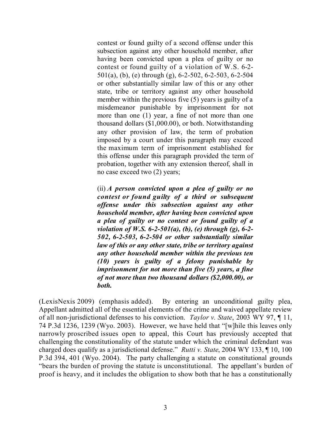contest or found guilty of a second offense under this subsection against any other household member, after having been convicted upon a plea of guilty or no contest or found guilty of a violation of W.S. 6-2- 501(a), (b), (e) through (g), 6-2-502, 6-2-503, 6-2-504 or other substantially similar law of this or any other state, tribe or territory against any other household member within the previous five (5) years is guilty of a misdemeanor punishable by imprisonment for not more than one (1) year, a fine of not more than one thousand dollars (\$1,000.00), or both. Notwithstanding any other provision of law, the term of probation imposed by a court under this paragraph may exceed the maximum term of imprisonment established for this offense under this paragraph provided the term of probation, together with any extension thereof, shall in no case exceed two (2) years;

(ii) *A person convicted upon a plea of guilty or no contest or found guilty of a third or subsequent offense under this subsection against any other household member, after having been convicted upon a plea of guilty or no contest or found guilty of a violation of W.S. 6-2-501(a), (b), (e) through (g), 6-2- 502, 6-2-503, 6-2-504 or other substantially similar law of this or any other state, tribe or territory against any other household member within the previous ten (10) years is guilty of a felony punishable by imprisonment for not more than five (5) years, a fine of not more than two thousand dollars (\$2,000.00), or both.*

(LexisNexis 2009) (emphasis added). By entering an unconditional guilty plea, Appellant admitted all of the essential elements of the crime and waived appellate review of all non-jurisdictional defenses to his conviction. *Taylor v. State*, 2003 WY 97, ¶ 11, 74 P.3d 1236, 1239 (Wyo. 2003). However, we have held that "[w]hile this leaves only narrowly proscribed issues open to appeal, this Court has previously accepted that challenging the constitutionality of the statute under which the criminal defendant was charged does qualify as a jurisdictional defense." *Rutti v. State*, 2004 WY 133, ¶ 10, 100 P.3d 394, 401 (Wyo. 2004). The party challenging a statute on constitutional grounds "bears the burden of proving the statute is unconstitutional. The appellant's burden of proof is heavy, and it includes the obligation to show both that he has a constitutionally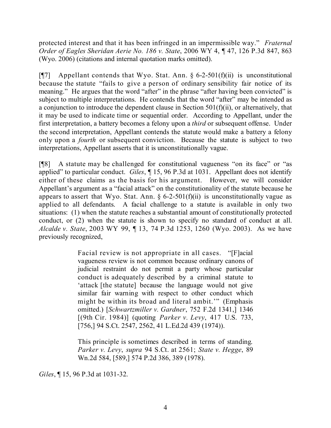protected interest and that it has been infringed in an impermissible way." *Fraternal Order of Eagles Sheridan Aerie No. 186 v. State*, 2006 WY 4, ¶ 47, 126 P.3d 847, 863 (Wyo. 2006) (citations and internal quotation marks omitted).

[ $\llbracket$ ] Appellant contends that Wyo. Stat. Ann. § 6-2-501(f)(ii) is unconstitutional because the statute "fails to give a person of ordinary sensibility fair notice of its meaning." He argues that the word "after" in the phrase "after having been convicted" is subject to multiple interpretations. He contends that the word "after" may be intended as a conjunction to introduce the dependent clause in Section 501(f)(ii), or alternatively, that it may be used to indicate time or sequential order. According to Appellant, under the first interpretation, a battery becomes a felony upon a *third* or subsequent offense. Under the second interpretation, Appellant contends the statute would make a battery a felony only upon a *fourth* or subsequent conviction. Because the statute is subject to two interpretations, Appellant asserts that it is unconstitutionally vague.

[¶8] A statute may be challenged for constitutional vagueness "on its face" or "as applied" to particular conduct. *Giles*, ¶ 15, 96 P.3d at 1031. Appellant does not identify either of these claims as the basis for his argument. However, we will consider Appellant's argument as a "facial attack" on the constitutionality of the statute because he appears to assert that Wyo. Stat. Ann.  $\S 6$ -2-501(f)(ii) is unconstitutionally vague as applied to all defendants. A facial challenge to a statute is available in only two situations: (1) when the statute reaches a substantial amount of constitutionally protected conduct, or (2) when the statute is shown to specify no standard of conduct at all. *Alcalde v. State*, 2003 WY 99, ¶ 13, 74 P.3d 1253, 1260 (Wyo. 2003). As we have previously recognized,

> Facial review is not appropriate in all cases. "[F]acial vagueness review is not common because ordinary canons of judicial restraint do not permit a party whose particular conduct is adequately described by a criminal statute to 'attack [the statute] because the language would not give similar fair warning with respect to other conduct which might be within its broad and literal ambit.'" (Emphasis omitted.) [*Schwartzmiller v. Gardner*, 752 F.2d 1341,] 1346 [(9th Cir. 1984)] (quoting *Parker v. Levy*, 417 U.S. 733, [756,] 94 S.Ct. 2547, 2562, 41 L.Ed.2d 439 (1974)).

> This principle is sometimes described in terms of standing. *Parker v. Levy*, *supra* 94 S.Ct. at 2561; *State v. Hegge*, 89 Wn.2d 584, [589,] 574 P.2d 386, 389 (1978).

*Giles*, ¶ 15, 96 P.3d at 1031-32.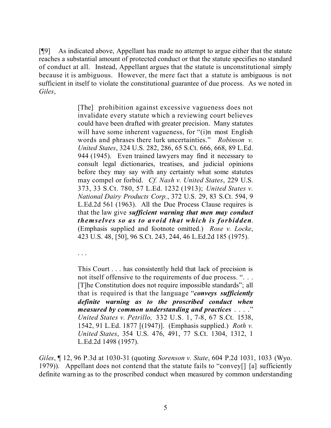[¶9] As indicated above, Appellant has made no attempt to argue either that the statute reaches a substantial amount of protected conduct or that the statute specifies no standard of conduct at all. Instead, Appellant argues that the statute is unconstitutional simply because it is ambiguous. However, the mere fact that a statute is ambiguous is not sufficient in itself to violate the constitutional guarantee of due process. As we noted in *Giles*,

> [The] prohibition against excessive vagueness does not invalidate every statute which a reviewing court believes could have been drafted with greater precision. Many statutes will have some inherent vagueness, for "(i)n most English words and phrases there lurk uncertainties." *Robinson v. United States*, 324 U.S. 282, 286, 65 S.Ct. 666, 668, 89 L.Ed. 944 (1945). Even trained lawyers may find it necessary to consult legal dictionaries, treatises, and judicial opinions before they may say with any certainty what some statutes may compel or forbid. *Cf. Nash v. United States*, 229 U.S. 373, 33 S.Ct. 780, 57 L.Ed. 1232 (1913); *United States v. National Dairy Products Corp.*, 372 U.S. 29, 83 S.Ct. 594, 9 L.Ed.2d 561 (1963). All the Due Process Clause requires is that the law give *sufficient warning that men may conduct themselves so as to avoid that which is forbidden*. (Emphasis supplied and footnote omitted.) *Rose v. Locke*, 423 U.S. 48, [50], 96 S.Ct. 243, 244, 46 L.Ed.2d 185 (1975).

. . .

This Court . . . has consistently held that lack of precision is not itself offensive to the requirements of due process. "... [T]he Constitution does not require impossible standards"; all that is required is that the language "*conveys sufficiently definite warning as to the proscribed conduct when measured by common understanding and practices* . . . ." *United States v. Petrillo,* 332 U.S. 1, 7-8, 67 S.Ct. 1538, 1542, 91 L.Ed. 1877 [(1947)]. (Emphasis supplied.) *Roth v. United States*, 354 U.S. 476, 491, 77 S.Ct. 1304, 1312, 1 L.Ed.2d 1498 (1957).

*Giles*, ¶ 12, 96 P.3d at 1030-31 (quoting *Sorenson v. State*, 604 P.2d 1031, 1033 (Wyo. 1979)). Appellant does not contend that the statute fails to "convey[] [a] sufficiently definite warning as to the proscribed conduct when measured by common understanding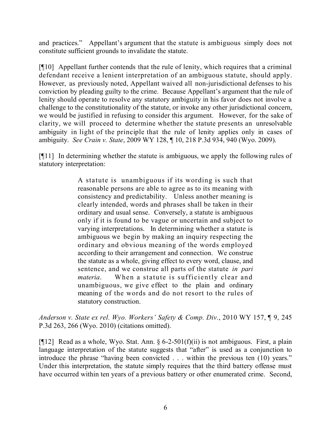and practices." Appellant's argument that the statute is ambiguous simply does not constitute sufficient grounds to invalidate the statute.

[¶10] Appellant further contends that the rule of lenity, which requires that a criminal defendant receive a lenient interpretation of an ambiguous statute, should apply. However, as previously noted, Appellant waived all non-jurisdictional defenses to his conviction by pleading guilty to the crime. Because Appellant's argument that the rule of lenity should operate to resolve any statutory ambiguity in his favor does not involve a challenge to the constitutionality of the statute, or invoke any other jurisdictional concern, we would be justified in refusing to consider this argument. However, for the sake of clarity, we will proceed to determine whether the statute presents an unresolvable ambiguity in light of the principle that the rule of lenity applies only in cases of ambiguity. *See Crain v. State*, 2009 WY 128, ¶ 10, 218 P.3d 934, 940 (Wyo. 2009).

[¶11] In determining whether the statute is ambiguous, we apply the following rules of statutory interpretation:

> A statute is unambiguous if its wording is such that reasonable persons are able to agree as to its meaning with consistency and predictability. Unless another meaning is clearly intended, words and phrases shall be taken in their ordinary and usual sense. Conversely, a statute is ambiguous only if it is found to be vague or uncertain and subject to varying interpretations. In determining whether a statute is ambiguous we begin by making an inquiry respecting the ordinary and obvious meaning of the words employed according to their arrangement and connection. We construe the statute as a whole, giving effect to every word, clause, and sentence, and we construe all parts of the statute *in pari materia*. When a statute is sufficiently clear and unambiguous, we give effect to the plain and ordinary meaning of the words and do not resort to the rules of statutory construction.

*Anderson v. State ex rel. Wyo. Workers' Safety & Comp. Div.*, 2010 WY 157, ¶ 9, 245 P.3d 263, 266 (Wyo. 2010) (citations omitted).

[ $[12]$ ] Read as a whole, Wyo. Stat. Ann. § 6-2-501(f)(ii) is not ambiguous. First, a plain language interpretation of the statute suggests that "after" is used as a conjunction to introduce the phrase "having been convicted . . . within the previous ten (10) years." Under this interpretation, the statute simply requires that the third battery offense must have occurred within ten years of a previous battery or other enumerated crime. Second,